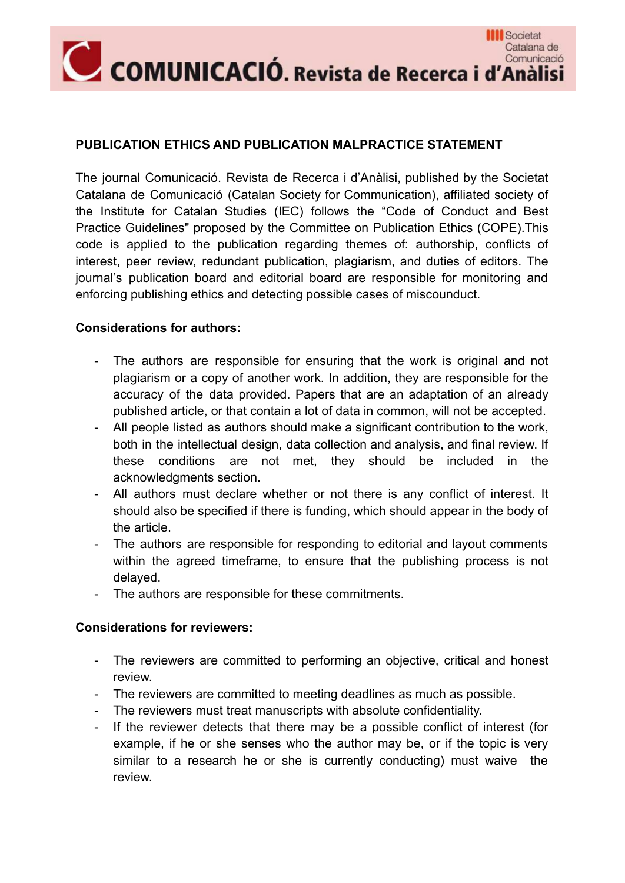

## **PUBLICATION ETHICS AND PUBLICATION MALPRACTICE STATEMENT**

The journal Comunicació. Revista de Recerca i d'Anàlisi, published by the Societat Catalana de Comunicació (Catalan Society for Communication), affiliated society of the Institute for Catalan Studies (IEC) follows the "Code of Conduct and Best Practice Guidelines" proposed by the Committee on Publication Ethics (COPE).This code is applied to the publication regarding themes of: authorship, conflicts of interest, peer review, redundant publication, plagiarism, and duties of editors. The journal's publication board and editorial board are responsible for monitoring and enforcing publishing ethics and detecting possible cases of miscounduct.

## **Considerations for authors:**

- The authors are responsible for ensuring that the work is original and not plagiarism or a copy of another work. In addition, they are responsible for the accuracy of the data provided. Papers that are an adaptation of an already published article, or that contain a lot of data in common, will not be accepted.
- All people listed as authors should make a significant contribution to the work, both in the intellectual design, data collection and analysis, and final review. If these conditions are not met, they should be included in the acknowledgments section.
- All authors must declare whether or not there is any conflict of interest. It should also be specified if there is funding, which should appear in the body of the article.
- The authors are responsible for responding to editorial and layout comments within the agreed timeframe, to ensure that the publishing process is not delayed.
- The authors are responsible for these commitments.

## **Considerations for reviewers:**

- The reviewers are committed to performing an objective, critical and honest review.
- The reviewers are committed to meeting deadlines as much as possible.
- The reviewers must treat manuscripts with absolute confidentiality.
- If the reviewer detects that there may be a possible conflict of interest (for example, if he or she senses who the author may be, or if the topic is very similar to a research he or she is currently conducting) must waive the review.